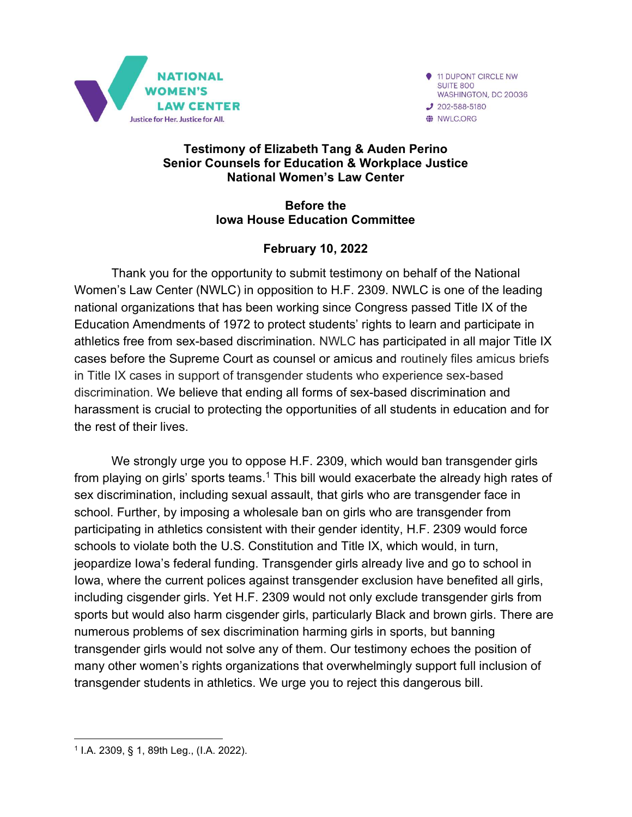

11 DUPONT CIRCLE NW SUITE 800 WASHINGTON, DC 20036  $J$  202-588-5180 WILC.ORG

#### Testimony of Elizabeth Tang & Auden Perino Senior Counsels for Education & Workplace Justice National Women's Law Center

#### Before the Iowa House Education Committee

### February 10, 2022

Thank you for the opportunity to submit testimony on behalf of the National Women's Law Center (NWLC) in opposition to H.F. 2309. NWLC is one of the leading national organizations that has been working since Congress passed Title IX of the Education Amendments of 1972 to protect students' rights to learn and participate in athletics free from sex-based discrimination. NWLC has participated in all major Title IX cases before the Supreme Court as counsel or amicus and routinely files amicus briefs in Title IX cases in support of transgender students who experience sex-based discrimination. We believe that ending all forms of sex-based discrimination and harassment is crucial to protecting the opportunities of all students in education and for the rest of their lives.

We strongly urge you to oppose H.F. 2309, which would ban transgender girls from playing on girls' sports teams.<sup>1</sup> This bill would exacerbate the already high rates of sex discrimination, including sexual assault, that girls who are transgender face in school. Further, by imposing a wholesale ban on girls who are transgender from participating in athletics consistent with their gender identity, H.F. 2309 would force schools to violate both the U.S. Constitution and Title IX, which would, in turn, jeopardize Iowa's federal funding. Transgender girls already live and go to school in Iowa, where the current polices against transgender exclusion have benefited all girls, including cisgender girls. Yet H.F. 2309 would not only exclude transgender girls from sports but would also harm cisgender girls, particularly Black and brown girls. There are numerous problems of sex discrimination harming girls in sports, but banning transgender girls would not solve any of them. Our testimony echoes the position of many other women's rights organizations that overwhelmingly support full inclusion of transgender students in athletics. We urge you to reject this dangerous bill.

<sup>1</sup> I.A. 2309, § 1, 89th Leg., (I.A. 2022).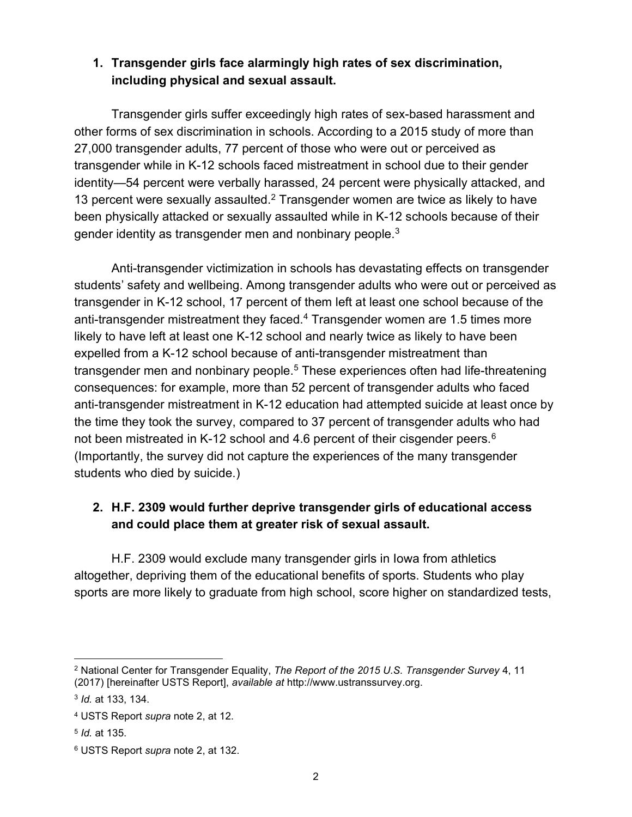#### 1. Transgender girls face alarmingly high rates of sex discrimination, including physical and sexual assault.

 Transgender girls suffer exceedingly high rates of sex-based harassment and other forms of sex discrimination in schools. According to a 2015 study of more than 27,000 transgender adults, 77 percent of those who were out or perceived as transgender while in K-12 schools faced mistreatment in school due to their gender identity—54 percent were verbally harassed, 24 percent were physically attacked, and 13 percent were sexually assaulted.<sup>2</sup> Transgender women are twice as likely to have been physically attacked or sexually assaulted while in K-12 schools because of their gender identity as transgender men and nonbinary people. $3$ 

Anti-transgender victimization in schools has devastating effects on transgender students' safety and wellbeing. Among transgender adults who were out or perceived as transgender in K-12 school, 17 percent of them left at least one school because of the anti-transgender mistreatment they faced.<sup>4</sup> Transgender women are 1.5 times more likely to have left at least one K-12 school and nearly twice as likely to have been expelled from a K-12 school because of anti-transgender mistreatment than transgender men and nonbinary people.<sup>5</sup> These experiences often had life-threatening consequences: for example, more than 52 percent of transgender adults who faced anti-transgender mistreatment in K-12 education had attempted suicide at least once by the time they took the survey, compared to 37 percent of transgender adults who had not been mistreated in K-12 school and 4.6 percent of their cisgender peers.<sup>6</sup> (Importantly, the survey did not capture the experiences of the many transgender students who died by suicide.)

# 2. H.F. 2309 would further deprive transgender girls of educational access and could place them at greater risk of sexual assault.

H.F. 2309 would exclude many transgender girls in Iowa from athletics altogether, depriving them of the educational benefits of sports. Students who play sports are more likely to graduate from high school, score higher on standardized tests,

 $^2$  National Center for Transgender Equality, *The Report of the 2015 U.S. Transgender Survey* 4, 11  $^2$ (2017) [hereinafter USTS Report], available at http://www.ustranssurvey.org.

<sup>3</sup> Id. at 133, 134.

<sup>&</sup>lt;sup>4</sup> USTS Report *supra* note 2, at 12.

<sup>5</sup> Id. at 135.

 $^6$  USTS Report *supra* note 2, at 132.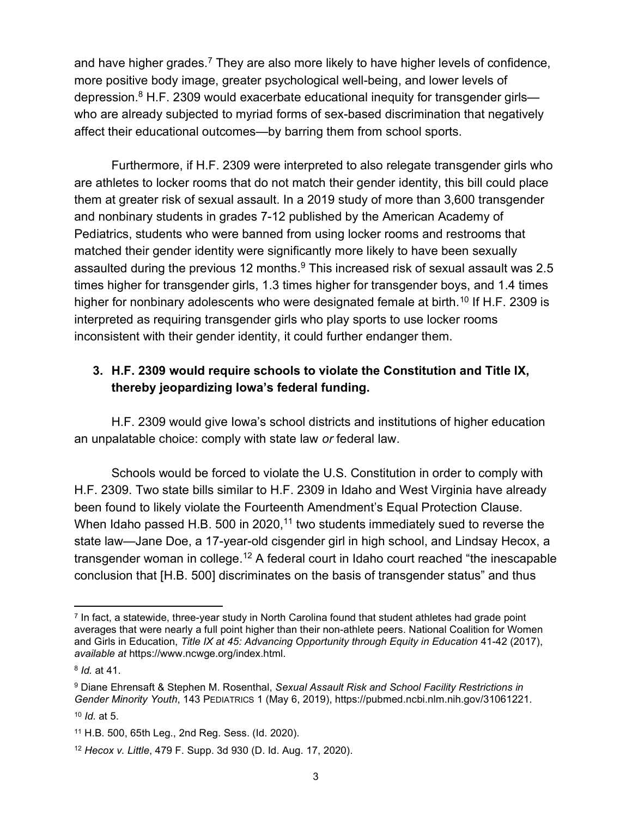and have higher grades.<sup>7</sup> They are also more likely to have higher levels of confidence, more positive body image, greater psychological well-being, and lower levels of depression.<sup>8</sup> H.F. 2309 would exacerbate educational inequity for transgender girls who are already subjected to myriad forms of sex-based discrimination that negatively affect their educational outcomes—by barring them from school sports.

Furthermore, if H.F. 2309 were interpreted to also relegate transgender girls who are athletes to locker rooms that do not match their gender identity, this bill could place them at greater risk of sexual assault. In a 2019 study of more than 3,600 transgender and nonbinary students in grades 7-12 published by the American Academy of Pediatrics, students who were banned from using locker rooms and restrooms that matched their gender identity were significantly more likely to have been sexually assaulted during the previous 12 months. $\rm ^9$  This increased risk of sexual assault was 2.5 times higher for transgender girls, 1.3 times higher for transgender boys, and 1.4 times higher for nonbinary adolescents who were designated female at birth.<sup>10</sup> If H.F. 2309 is interpreted as requiring transgender girls who play sports to use locker rooms inconsistent with their gender identity, it could further endanger them.

## 3. H.F. 2309 would require schools to violate the Constitution and Title IX, thereby jeopardizing Iowa's federal funding.

H.F. 2309 would give Iowa's school districts and institutions of higher education an unpalatable choice: comply with state law or federal law.

Schools would be forced to violate the U.S. Constitution in order to comply with H.F. 2309. Two state bills similar to H.F. 2309 in Idaho and West Virginia have already been found to likely violate the Fourteenth Amendment's Equal Protection Clause. When Idaho passed H.B. 500 in 2020,<sup>11</sup> two students immediately sued to reverse the state law—Jane Doe, a 17-year-old cisgender girl in high school, and Lindsay Hecox, a transgender woman in college.<sup>12</sup> A federal court in Idaho court reached "the inescapable conclusion that [H.B. 500] discriminates on the basis of transgender status" and thus

<sup>7</sup> In fact, a statewide, three-year study in North Carolina found that student athletes had grade point averages that were nearly a full point higher than their non-athlete peers. National Coalition for Women and Girls in Education, Title IX at 45: Advancing Opportunity through Equity in Education 41-42 (2017), available at https://www.ncwge.org/index.html.

<sup>&</sup>lt;sup>8</sup> *Id.* at 41.

 $^\mathrm{9}$  Diane Ehrensaft & Stephen M. Rosenthal, *Sexual Assault Risk and School Facility Restrictions in* Gender Minority Youth, 143 PEDIATRICS 1 (May 6, 2019), https://pubmed.ncbi.nlm.nih.gov/31061221.

 $10$  *Id.* at 5.

<sup>11</sup> H.B. 500, 65th Leg., 2nd Reg. Sess. (Id. 2020).

<sup>12</sup> Hecox v. Little, 479 F. Supp. 3d 930 (D. Id. Aug. 17, 2020).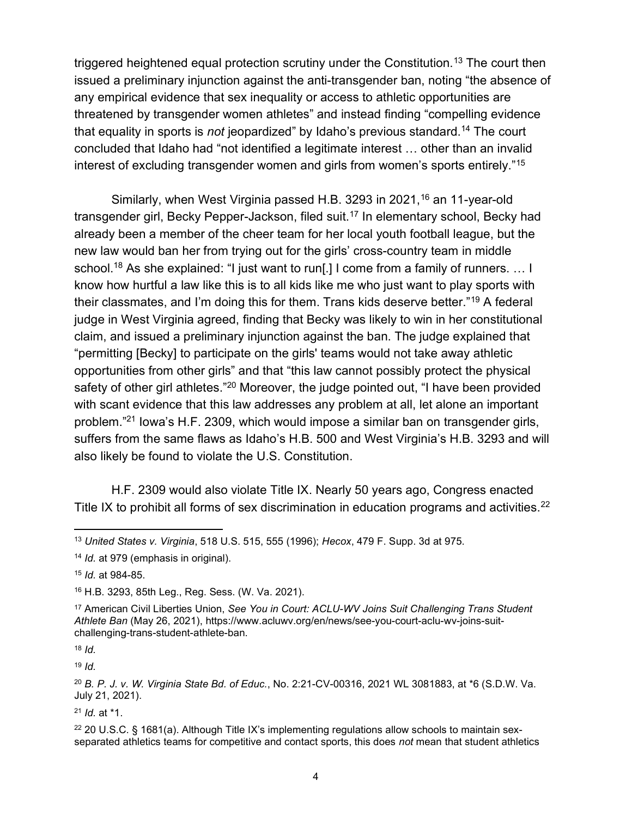triggered heightened equal protection scrutiny under the Constitution.<sup>13</sup> The court then issued a preliminary injunction against the anti-transgender ban, noting "the absence of any empirical evidence that sex inequality or access to athletic opportunities are threatened by transgender women athletes" and instead finding "compelling evidence that equality in sports is *not* jeopardized" by Idaho's previous standard.<sup>14</sup> The court concluded that Idaho had "not identified a legitimate interest … other than an invalid interest of excluding transgender women and girls from women's sports entirely."<sup>15</sup>

Similarly, when West Virginia passed H.B. 3293 in 2021,<sup>16</sup> an 11-year-old transgender girl, Becky Pepper-Jackson, filed suit.<sup>17</sup> In elementary school, Becky had already been a member of the cheer team for her local youth football league, but the new law would ban her from trying out for the girls' cross-country team in middle school.<sup>18</sup> As she explained: "I just want to run[.] I come from a family of runners. ... I know how hurtful a law like this is to all kids like me who just want to play sports with their classmates, and I'm doing this for them. Trans kids deserve better."<sup>19</sup> A federal judge in West Virginia agreed, finding that Becky was likely to win in her constitutional claim, and issued a preliminary injunction against the ban. The judge explained that "permitting [Becky] to participate on the girls' teams would not take away athletic opportunities from other girls" and that "this law cannot possibly protect the physical safety of other girl athletes."<sup>20</sup> Moreover, the judge pointed out, "I have been provided with scant evidence that this law addresses any problem at all, let alone an important problem."<sup>21</sup> Iowa's H.F. 2309, which would impose a similar ban on transgender girls, suffers from the same flaws as Idaho's H.B. 500 and West Virginia's H.B. 3293 and will also likely be found to violate the U.S. Constitution.

H.F. 2309 would also violate Title IX. Nearly 50 years ago, Congress enacted Title IX to prohibit all forms of sex discrimination in education programs and activities.<sup>22</sup>

 $18$  Id.

 $19$  *Id.* 

 $21$  *Id.* at  $*1$ .

<sup>13</sup> United States v. Virginia, 518 U.S. 515, 555 (1996); Hecox, 479 F. Supp. 3d at 975.

<sup>&</sup>lt;sup>14</sup> *Id.* at 979 (emphasis in original).

<sup>15</sup> Id. at 984-85.

<sup>16</sup> H.B. 3293, 85th Leg., Reg. Sess. (W. Va. 2021).

<sup>&</sup>lt;sup>17</sup> American Civil Liberties Union, See You in Court: ACLU-WV Joins Suit Challenging Trans Student Athlete Ban (May 26, 2021), https://www.acluwv.org/en/news/see-you-court-aclu-wv-joins-suitchallenging-trans-student-athlete-ban.

<sup>20</sup> B. P. J. v. W. Virginia State Bd. of Educ., No. 2:21-CV-00316, 2021 WL 3081883, at \*6 (S.D.W. Va. July 21, 2021).

 $22$  20 U.S.C. § 1681(a). Although Title IX's implementing regulations allow schools to maintain sexseparated athletics teams for competitive and contact sports, this does not mean that student athletics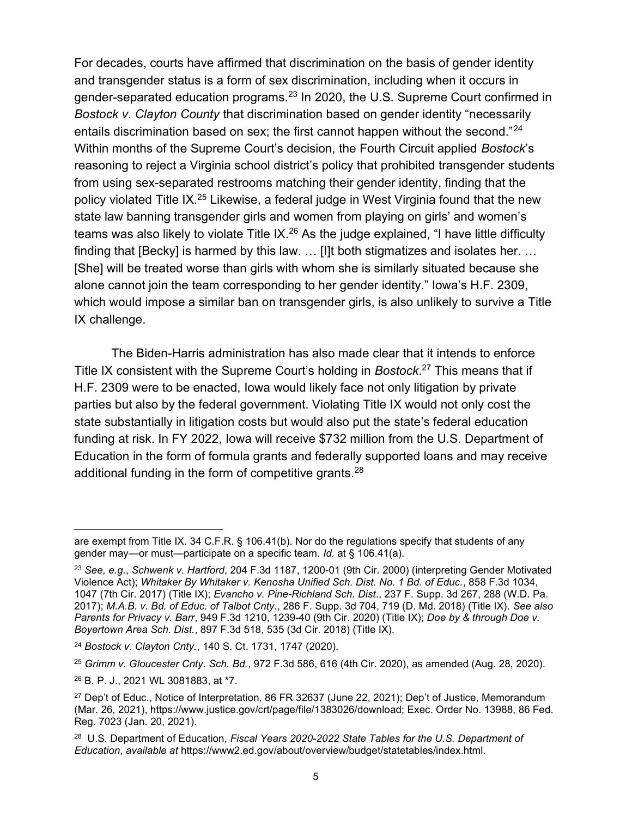For decades, courts have affirmed that discrimination on the basis of gender identity and transgender status is a form of sex discrimination, including when it occurs in gender-separated education programs.<sup>23</sup> In 2020, the U.S. Supreme Court confirmed in Bostock v. Clayton County that discrimination based on gender identity "necessarily entails discrimination based on sex; the first cannot happen without the second."<sup>24</sup> Within months of the Supreme Court's decision, the Fourth Circuit applied Bostock's reasoning to reject a Virginia school district's policy that prohibited transgender students from using sex-separated restrooms matching their gender identity, finding that the policy violated Title IX.<sup>25</sup> Likewise, a federal judge in West Virginia found that the new state law banning transgender girls and women from playing on girls' and women's teams was also likely to violate Title IX.<sup>26</sup> As the judge explained, "I have little difficulty finding that [Becky] is harmed by this law. … [I]t both stigmatizes and isolates her. … [She] will be treated worse than girls with whom she is similarly situated because she alone cannot join the team corresponding to her gender identity." Iowa's H.F. 2309, which would impose a similar ban on transgender girls, is also unlikely to survive a Title IX challenge.

The Biden-Harris administration has also made clear that it intends to enforce Title IX consistent with the Supreme Court's holding in Bostock.<sup>27</sup> This means that if H.F. 2309 were to be enacted, Iowa would likely face not only litigation by private parties but also by the federal government. Violating Title IX would not only cost the state substantially in litigation costs but would also put the state's federal education funding at risk. In FY 2022, Iowa will receive \$732 million from the U.S. Department of Education in the form of formula grants and federally supported loans and may receive additional funding in the form of competitive grants.<sup>28</sup>

<sup>24</sup> Bostock v. Clayton Cnty., 140 S. Ct. 1731, 1747 (2020).

 $25$  Grimm v. Gloucester Cnty. Sch. Bd., 972 F.3d 586, 616 (4th Cir. 2020), as amended (Aug. 28, 2020).

<sup>26</sup> B. P. J., 2021 WL 3081883, at \*7.

are exempt from Title IX. 34 C.F.R. § 106.41(b). Nor do the regulations specify that students of any gender may—or must—participate on a specific team. Id. at § 106.41(a).

<sup>&</sup>lt;sup>23</sup> See, e.g., Schwenk v. Hartford, 204 F.3d 1187, 1200-01 (9th Cir. 2000) (interpreting Gender Motivated Violence Act); Whitaker By Whitaker v. Kenosha Unified Sch. Dist. No. 1 Bd. of Educ., 858 F.3d 1034, 1047 (7th Cir. 2017) (Title IX); Evancho v. Pine-Richland Sch. Dist., 237 F. Supp. 3d 267, 288 (W.D. Pa. 2017); M.A.B. v. Bd. of Educ. of Talbot Cnty., 286 F. Supp. 3d 704, 719 (D. Md. 2018) (Title IX). See also Parents for Privacy v. Barr, 949 F.3d 1210, 1239-40 (9th Cir. 2020) (Title IX); Doe by & through Doe v. Boyertown Area Sch. Dist., 897 F.3d 518, 535 (3d Cir. 2018) (Title IX).

<sup>27</sup> Dep't of Educ., Notice of Interpretation, 86 FR 32637 (June 22, 2021); Dep't of Justice, Memorandum (Mar. 26, 2021), https://www.justice.gov/crt/page/file/1383026/download; Exec. Order No. 13988, 86 Fed. Reg. 7023 (Jan. 20, 2021).

<sup>&</sup>lt;sup>28</sup> U.S. Department of Education, Fiscal Years 2020-2022 State Tables for the U.S. Department of Education, available at https://www2.ed.gov/about/overview/budget/statetables/index.html.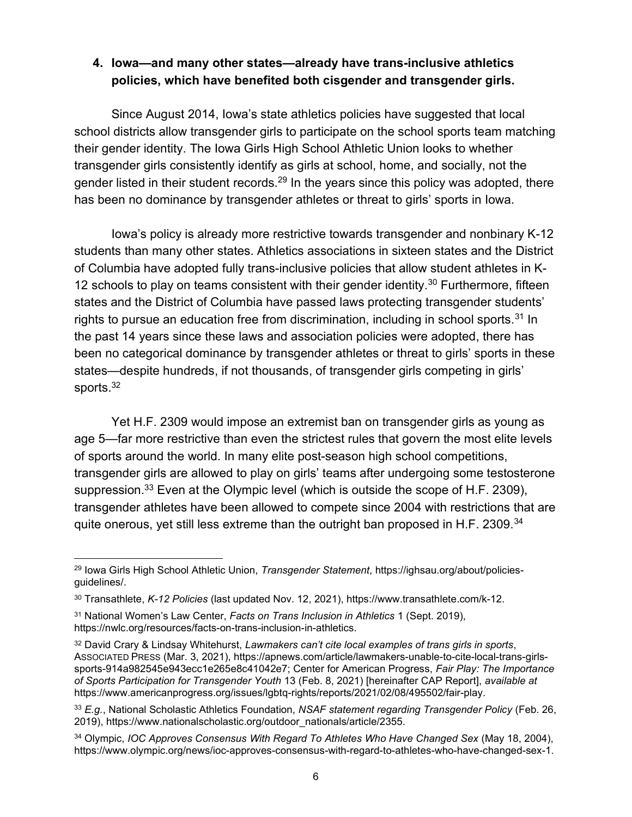#### 4. Iowa—and many other states—already have trans-inclusive athletics policies, which have benefited both cisgender and transgender girls.

Since August 2014, Iowa's state athletics policies have suggested that local school districts allow transgender girls to participate on the school sports team matching their gender identity. The Iowa Girls High School Athletic Union looks to whether transgender girls consistently identify as girls at school, home, and socially, not the gender listed in their student records.<sup>29</sup> In the years since this policy was adopted, there has been no dominance by transgender athletes or threat to girls' sports in Iowa.

Iowa's policy is already more restrictive towards transgender and nonbinary K-12 students than many other states. Athletics associations in sixteen states and the District of Columbia have adopted fully trans-inclusive policies that allow student athletes in K-12 schools to play on teams consistent with their gender identity.<sup>30</sup> Furthermore, fifteen states and the District of Columbia have passed laws protecting transgender students' rights to pursue an education free from discrimination, including in school sports.<sup>31</sup> In the past 14 years since these laws and association policies were adopted, there has been no categorical dominance by transgender athletes or threat to girls' sports in these states—despite hundreds, if not thousands, of transgender girls competing in girls' sports.<sup>32</sup>

Yet H.F. 2309 would impose an extremist ban on transgender girls as young as age 5—far more restrictive than even the strictest rules that govern the most elite levels of sports around the world. In many elite post-season high school competitions, transgender girls are allowed to play on girls' teams after undergoing some testosterone suppression.<sup>33</sup> Even at the Olympic level (which is outside the scope of H.F. 2309), transgender athletes have been allowed to compete since 2004 with restrictions that are quite onerous, yet still less extreme than the outright ban proposed in H.F. 2309.<sup>34</sup>

<sup>&</sup>lt;sup>29</sup> Iowa Girls High School Athletic Union, Transgender Statement, https://ighsau.org/about/policiesguidelines/.

<sup>30</sup> Transathlete, K-12 Policies (last updated Nov. 12, 2021), https://www.transathlete.com/k-12.

<sup>&</sup>lt;sup>31</sup> National Women's Law Center, Facts on Trans Inclusion in Athletics 1 (Sept. 2019), https://nwlc.org/resources/facts-on-trans-inclusion-in-athletics.

<sup>32</sup> David Crary & Lindsay Whitehurst, Lawmakers can't cite local examples of trans girls in sports, ASSOCIATED PRESS (Mar. 3, 2021), https://apnews.com/article/lawmakers-unable-to-cite-local-trans-girlssports-914a982545e943ecc1e265e8c41042e7; Center for American Progress, Fair Play: The Importance of Sports Participation for Transgender Youth 13 (Feb. 8, 2021) [hereinafter CAP Report], available at https://www.americanprogress.org/issues/lgbtq-rights/reports/2021/02/08/495502/fair-play.

<sup>33</sup> E.g., National Scholastic Athletics Foundation, NSAF statement regarding Transgender Policy (Feb. 26, 2019), https://www.nationalscholastic.org/outdoor\_nationals/article/2355.

<sup>34</sup> Olympic, IOC Approves Consensus With Regard To Athletes Who Have Changed Sex (May 18, 2004), https://www.olympic.org/news/ioc-approves-consensus-with-regard-to-athletes-who-have-changed-sex-1.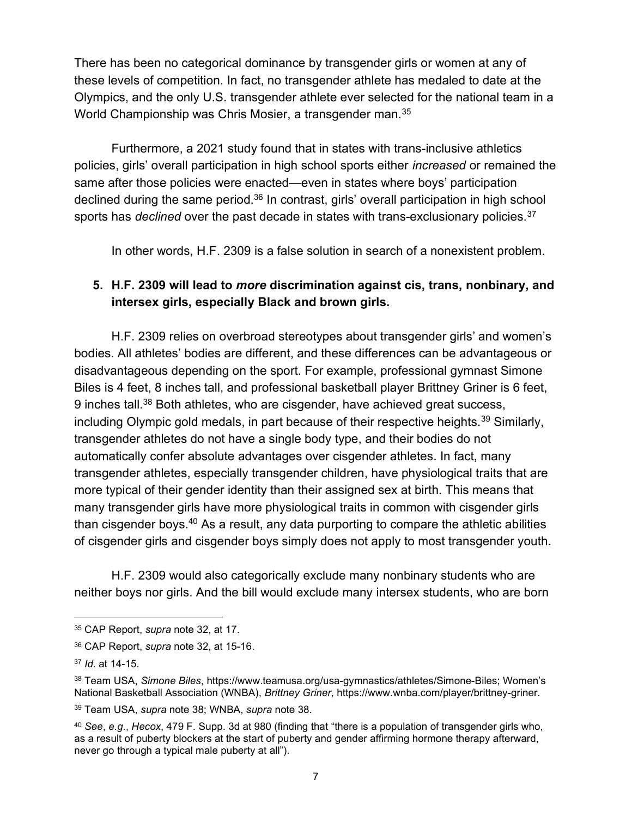There has been no categorical dominance by transgender girls or women at any of these levels of competition. In fact, no transgender athlete has medaled to date at the Olympics, and the only U.S. transgender athlete ever selected for the national team in a World Championship was Chris Mosier, a transgender man. 35

Furthermore, a 2021 study found that in states with trans-inclusive athletics policies, girls' overall participation in high school sports either increased or remained the same after those policies were enacted—even in states where boys' participation declined during the same period.<sup>36</sup> In contrast, girls' overall participation in high school sports has *declined* over the past decade in states with trans-exclusionary policies.<sup>37</sup>

In other words, H.F. 2309 is a false solution in search of a nonexistent problem.

#### 5. H.F. 2309 will lead to more discrimination against cis, trans, nonbinary, and intersex girls, especially Black and brown girls.

H.F. 2309 relies on overbroad stereotypes about transgender girls' and women's bodies. All athletes' bodies are different, and these differences can be advantageous or disadvantageous depending on the sport. For example, professional gymnast Simone Biles is 4 feet, 8 inches tall, and professional basketball player Brittney Griner is 6 feet, 9 inches tall.<sup>38</sup> Both athletes, who are cisgender, have achieved great success, including Olympic gold medals, in part because of their respective heights.<sup>39</sup> Similarly, transgender athletes do not have a single body type, and their bodies do not automatically confer absolute advantages over cisgender athletes. In fact, many transgender athletes, especially transgender children, have physiological traits that are more typical of their gender identity than their assigned sex at birth. This means that many transgender girls have more physiological traits in common with cisgender girls than cisgender boys.<sup>40</sup> As a result, any data purporting to compare the athletic abilities of cisgender girls and cisgender boys simply does not apply to most transgender youth.

H.F. 2309 would also categorically exclude many nonbinary students who are neither boys nor girls. And the bill would exclude many intersex students, who are born

<sup>35</sup> CAP Report, supra note 32, at 17.

<sup>36</sup> CAP Report, supra note 32, at 15-16.

<sup>37</sup> Id. at 14-15.

<sup>38</sup> Team USA, Simone Biles, https://www.teamusa.org/usa-gymnastics/athletes/Simone-Biles; Women's National Basketball Association (WNBA), Brittney Griner, https://www.wnba.com/player/brittney-griner.

<sup>39</sup> Team USA, *supra* note 38; WNBA, *supra* note 38.

<sup>40</sup> See, e.g., Hecox, 479 F. Supp. 3d at 980 (finding that "there is a population of transgender girls who, as a result of puberty blockers at the start of puberty and gender affirming hormone therapy afterward, never go through a typical male puberty at all").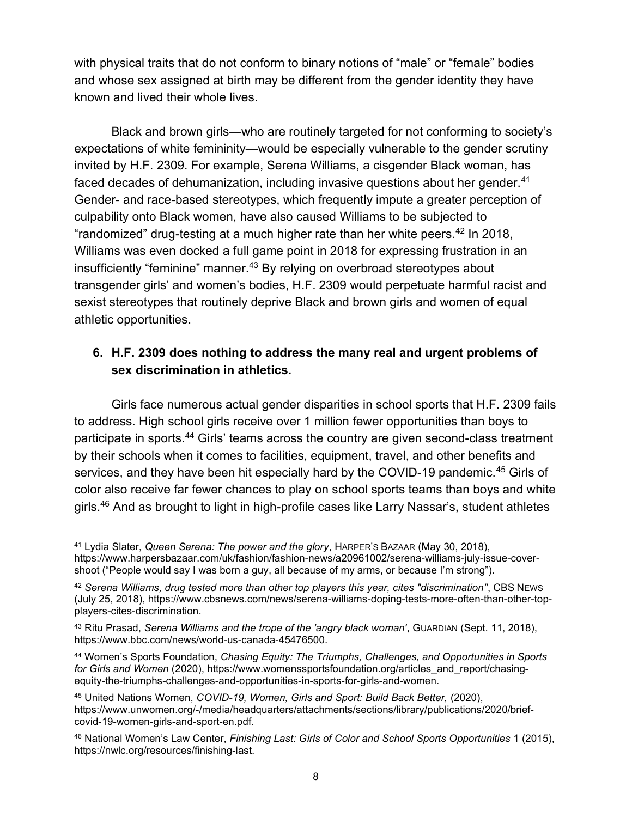with physical traits that do not conform to binary notions of "male" or "female" bodies and whose sex assigned at birth may be different from the gender identity they have known and lived their whole lives.

Black and brown girls—who are routinely targeted for not conforming to society's expectations of white femininity—would be especially vulnerable to the gender scrutiny invited by H.F. 2309. For example, Serena Williams, a cisgender Black woman, has faced decades of dehumanization, including invasive questions about her gender.<sup>41</sup> Gender- and race-based stereotypes, which frequently impute a greater perception of culpability onto Black women, have also caused Williams to be subjected to "randomized" drug-testing at a much higher rate than her white peers. $42$  In 2018, Williams was even docked a full game point in 2018 for expressing frustration in an insufficiently "feminine" manner.<sup>43</sup> By relying on overbroad stereotypes about transgender girls' and women's bodies, H.F. 2309 would perpetuate harmful racist and sexist stereotypes that routinely deprive Black and brown girls and women of equal athletic opportunities.

## 6. H.F. 2309 does nothing to address the many real and urgent problems of sex discrimination in athletics.

Girls face numerous actual gender disparities in school sports that H.F. 2309 fails to address. High school girls receive over 1 million fewer opportunities than boys to participate in sports.<sup>44</sup> Girls' teams across the country are given second-class treatment by their schools when it comes to facilities, equipment, travel, and other benefits and services, and they have been hit especially hard by the COVID-19 pandemic.<sup>45</sup> Girls of color also receive far fewer chances to play on school sports teams than boys and white girls.<sup>46</sup> And as brought to light in high-profile cases like Larry Nassar's, student athletes

<sup>41</sup> Lydia Slater, Queen Serena: The power and the glory, HARPER's BAZAAR (May 30, 2018), https://www.harpersbazaar.com/uk/fashion/fashion-news/a20961002/serena-williams-july-issue-covershoot ("People would say I was born a guy, all because of my arms, or because I'm strong").

<sup>42</sup> Serena Williams, drug tested more than other top players this year, cites "discrimination", CBS NEWS (July 25, 2018), https://www.cbsnews.com/news/serena-williams-doping-tests-more-often-than-other-topplayers-cites-discrimination.

<sup>43</sup> Ritu Prasad, Serena Williams and the trope of the 'angry black woman', GUARDIAN (Sept. 11, 2018), https://www.bbc.com/news/world-us-canada-45476500.

<sup>44</sup> Women's Sports Foundation, Chasing Equity: The Triumphs, Challenges, and Opportunities in Sports for Girls and Women (2020), https://www.womenssportsfoundation.org/articles\_and\_report/chasingequity-the-triumphs-challenges-and-opportunities-in-sports-for-girls-and-women.

<sup>45</sup> United Nations Women, COVID-19, Women, Girls and Sport: Build Back Better, (2020), https://www.unwomen.org/-/media/headquarters/attachments/sections/library/publications/2020/briefcovid-19-women-girls-and-sport-en.pdf.

<sup>46</sup> National Women's Law Center, Finishing Last: Girls of Color and School Sports Opportunities 1 (2015), https://nwlc.org/resources/finishing-last.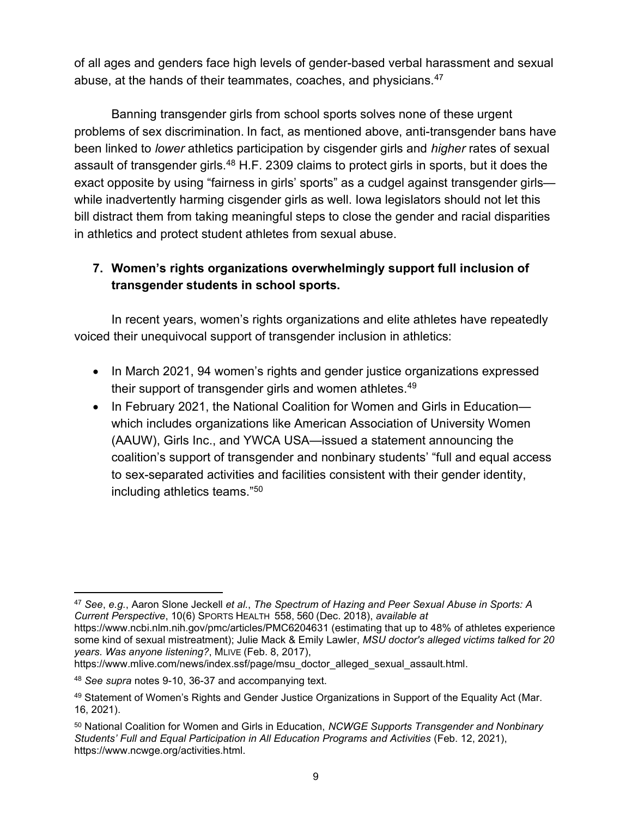of all ages and genders face high levels of gender-based verbal harassment and sexual abuse, at the hands of their teammates, coaches, and physicians.<sup>47</sup>

Banning transgender girls from school sports solves none of these urgent problems of sex discrimination. In fact, as mentioned above, anti-transgender bans have been linked to lower athletics participation by cisgender girls and higher rates of sexual assault of transgender girls.<sup>48</sup> H.F. 2309 claims to protect girls in sports, but it does the exact opposite by using "fairness in girls' sports" as a cudgel against transgender girls while inadvertently harming cisgender girls as well. Iowa legislators should not let this bill distract them from taking meaningful steps to close the gender and racial disparities in athletics and protect student athletes from sexual abuse.

## 7. Women's rights organizations overwhelmingly support full inclusion of transgender students in school sports.

In recent years, women's rights organizations and elite athletes have repeatedly voiced their unequivocal support of transgender inclusion in athletics:

- In March 2021, 94 women's rights and gender justice organizations expressed their support of transgender girls and women athletes.<sup>49</sup>
- In February 2021, the National Coalition for Women and Girls in Education which includes organizations like American Association of University Women (AAUW), Girls Inc., and YWCA USA—issued a statement announcing the coalition's support of transgender and nonbinary students' "full and equal access to sex-separated activities and facilities consistent with their gender identity, including athletics teams."<sup>50</sup>

<sup>47</sup> See, e.g., Aaron Slone Jeckell et al., The Spectrum of Hazing and Peer Sexual Abuse in Sports: A Current Perspective, 10(6) SPORTS HEALTH 558, 560 (Dec. 2018), available at

https://www.ncbi.nlm.nih.gov/pmc/articles/PMC6204631 (estimating that up to 48% of athletes experience some kind of sexual mistreatment); Julie Mack & Emily Lawler, MSU doctor's alleged victims talked for 20 years. Was anyone listening?, MLIVE (Feb. 8, 2017),

https://www.mlive.com/news/index.ssf/page/msu\_doctor\_alleged\_sexual\_assault.html.

<sup>48</sup> See supra notes 9-10, 36-37 and accompanying text.

<sup>49</sup> Statement of Women's Rights and Gender Justice Organizations in Support of the Equality Act (Mar. 16, 2021).

<sup>50</sup> National Coalition for Women and Girls in Education, NCWGE Supports Transgender and Nonbinary Students' Full and Equal Participation in All Education Programs and Activities (Feb. 12, 2021), https://www.ncwge.org/activities.html.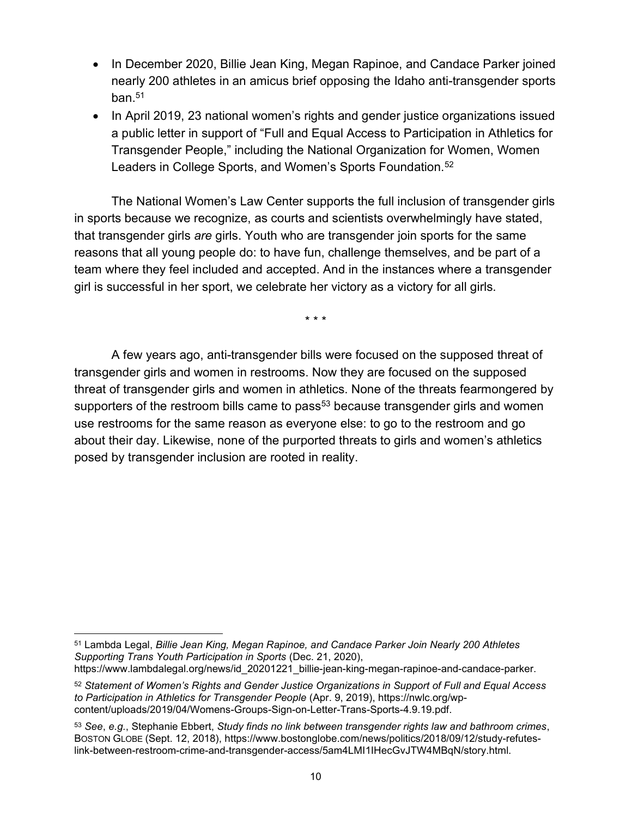- In December 2020, Billie Jean King, Megan Rapinoe, and Candace Parker joined nearly 200 athletes in an amicus brief opposing the Idaho anti-transgender sports ban $51$
- In April 2019, 23 national women's rights and gender justice organizations issued a public letter in support of "Full and Equal Access to Participation in Athletics for Transgender People," including the National Organization for Women, Women Leaders in College Sports, and Women's Sports Foundation.<sup>52</sup>

The National Women's Law Center supports the full inclusion of transgender girls in sports because we recognize, as courts and scientists overwhelmingly have stated, that transgender girls are girls. Youth who are transgender join sports for the same reasons that all young people do: to have fun, challenge themselves, and be part of a team where they feel included and accepted. And in the instances where a transgender girl is successful in her sport, we celebrate her victory as a victory for all girls.

\* \* \*

A few years ago, anti-transgender bills were focused on the supposed threat of transgender girls and women in restrooms. Now they are focused on the supposed threat of transgender girls and women in athletics. None of the threats fearmongered by supporters of the restroom bills came to pass<sup>53</sup> because transgender girls and women use restrooms for the same reason as everyone else: to go to the restroom and go about their day. Likewise, none of the purported threats to girls and women's athletics posed by transgender inclusion are rooted in reality.

https://www.lambdalegal.org/news/id\_20201221\_billie-jean-king-megan-rapinoe-and-candace-parker.

<sup>51</sup> Lambda Legal, Billie Jean King, Megan Rapinoe, and Candace Parker Join Nearly 200 Athletes Supporting Trans Youth Participation in Sports (Dec. 21, 2020),

<sup>52</sup> Statement of Women's Rights and Gender Justice Organizations in Support of Full and Equal Access to Participation in Athletics for Transgender People (Apr. 9, 2019), https://nwlc.org/wpcontent/uploads/2019/04/Womens-Groups-Sign-on-Letter-Trans-Sports-4.9.19.pdf.

 $53$  See, e.g., Stephanie Ebbert, Study finds no link between transgender rights law and bathroom crimes, BOSTON GLOBE (Sept. 12, 2018), https://www.bostonglobe.com/news/politics/2018/09/12/study-refuteslink-between-restroom-crime-and-transgender-access/5am4LMI1IHecGvJTW4MBqN/story.html.